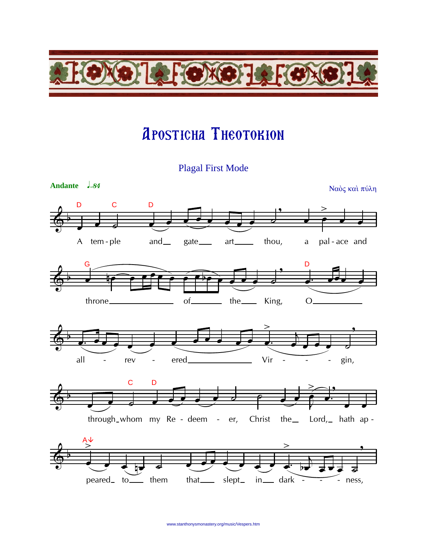

## **APOSTICHA THEOTOKION**

**Plagal First Mode**